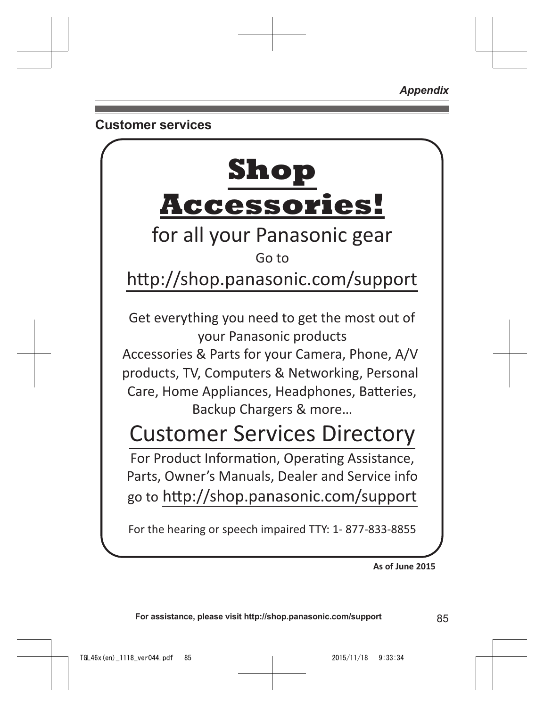*Appendix*

# **Customer services**



**As of June 2015** 

**For assistance, please visit http://shop.panasonic.com/support** 85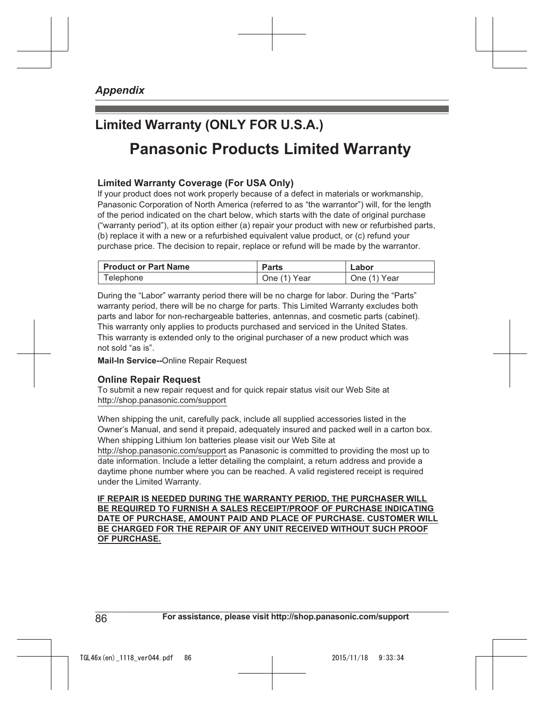# **Limited Warranty (ONLY FOR U.S.A.) Panasonic Products Limited Warranty**

## **Limited Warranty Coverage (For USA Only)**

If your product does not work properly because of a defect in materials or workmanship, Panasonic Corporation of North America (referred to as "the warrantor") will, for the length of the period indicated on the chart below, which starts with the date of original purchase ("warranty period"), at its option either (a) repair your product with new or refurbished parts, (b) replace it with a new or a refurbished equivalent value product, or (c) refund your purchase price. The decision to repair, replace or refund will be made by the warrantor.

| Product or Part Name | Parts        | Labor        |
|----------------------|--------------|--------------|
| Telephone            | One (1) Year | One (1) Year |

During the "Labor" warranty period there will be no charge for labor. During the "Parts" warranty period, there will be no charge for parts. This Limited Warranty excludes both parts and labor for non-rechargeable batteries, antennas, and cosmetic parts (cabinet). This warranty only applies to products purchased and serviced in the United States. This warranty is extended only to the original purchaser of a new product which was not sold "as is".

**Mail-In Service--**Online Repair Request

#### **Online Repair Request**

To submit a new repair request and for quick repair status visit our Web Site at http://shop.panasonic.com/support

When shipping the unit, carefully pack, include all supplied accessories listed in the Owner's Manual, and send it prepaid, adequately insured and packed well in a carton box. When shipping Lithium Ion batteries please visit our Web Site at

http://shop.panasonic.com/support as Panasonic is committed to providing the most up to date information. Include a letter detailing the complaint, a return address and provide a daytime phone number where you can be reached. A valid registered receipt is required under the Limited Warranty.

**IF REPAIR IS NEEDED DURING THE WARRANTY PERIOD, THE PURCHASER WILL BE REQUIRED TO FURNISH A SALES RECEIPT/PROOF OF PURCHASE INDICATING DATE OF PURCHASE, AMOUNT PAID AND PLACE OF PURCHASE. CUSTOMER WILL BE CHARGED FOR THE REPAIR OF ANY UNIT RECEIVED WITHOUT SUCH PROOF OF PURCHASE.**